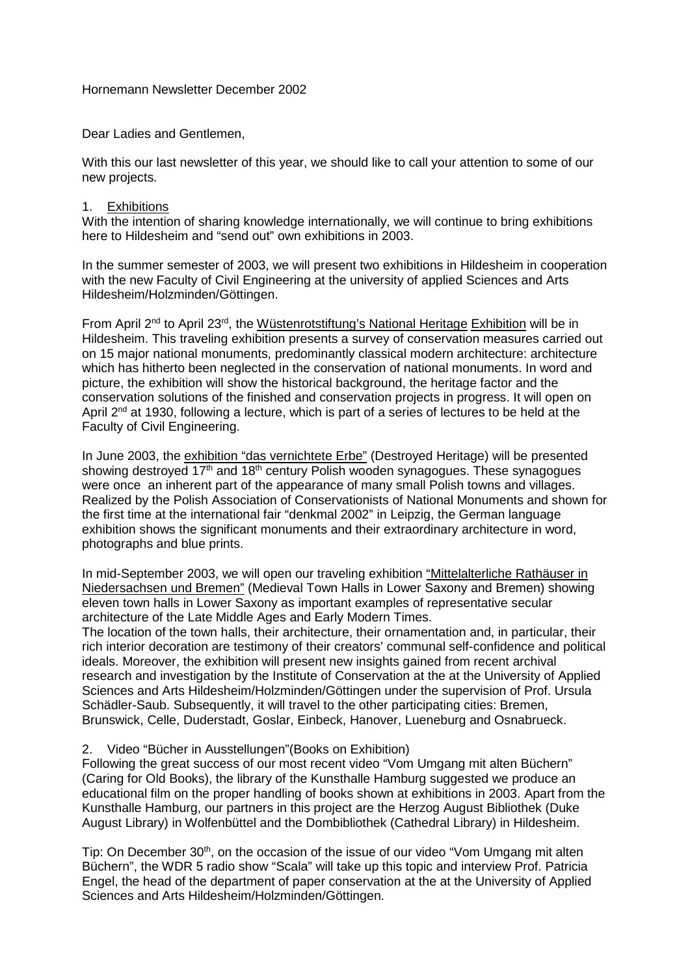Hornemann Newsletter December 2002

Dear Ladies and Gentlemen,

With this our last newsletter of this year, we should like to call your attention to some of our new projects.

## 1. Exhibitions

With the intention of sharing knowledge internationally, we will continue to bring exhibitions here to Hildesheim and "send out" own exhibitions in 2003.

In the summer semester of 2003, we will present two exhibitions in Hildesheim in cooperation with the new Faculty of Civil Engineering at the university of applied Sciences and Arts Hildesheim/Holzminden/Göttingen.

From April 2nd to April 23rd, the Wüstenrotstiftung's National Heritage Exhibition will be in Hildesheim. This traveling exhibition presents a survey of conservation measures carried out on 15 major national monuments, predominantly classical modern architecture: architecture which has hitherto been neglected in the conservation of national monuments. In word and picture, the exhibition will show the historical background, the heritage factor and the conservation solutions of the finished and conservation projects in progress. It will open on April 2<sup>nd</sup> at 1930, following a lecture, which is part of a series of lectures to be held at the Faculty of Civil Engineering.

In June 2003, the exhibition "das vernichtete Erbe" (Destroyed Heritage) will be presented showing destroyed  $17<sup>th</sup>$  and  $18<sup>th</sup>$  century Polish wooden synagogues. These synagogues were once an inherent part of the appearance of many small Polish towns and villages. Realized by the Polish Association of Conservationists of National Monuments and shown for the first time at the international fair "denkmal 2002" in Leipzig, the German language exhibition shows the significant monuments and their extraordinary architecture in word, photographs and blue prints.

In mid-September 2003, we will open our traveling exhibition "Mittelalterliche Rathäuser in Niedersachsen und Bremen" (Medieval Town Halls in Lower Saxony and Bremen) showing eleven town halls in Lower Saxony as important examples of representative secular architecture of the Late Middle Ages and Early Modern Times.

The location of the town halls, their architecture, their ornamentation and, in particular, their rich interior decoration are testimony of their creators' communal self-confidence and political ideals. Moreover, the exhibition will present new insights gained from recent archival research and investigation by the Institute of Conservation at the at the University of Applied Sciences and Arts Hildesheim/Holzminden/Göttingen under the supervision of Prof. Ursula Schädler-Saub. Subsequently, it will travel to the other participating cities: Bremen, Brunswick, Celle, Duderstadt, Goslar, Einbeck, Hanover, Lueneburg and Osnabrueck.

## 2. Video "Bücher in Ausstellungen"(Books on Exhibition)

Following the great success of our most recent video "Vom Umgang mit alten Büchern" (Caring for Old Books), the library of the Kunsthalle Hamburg suggested we produce an educational film on the proper handling of books shown at exhibitions in 2003. Apart from the Kunsthalle Hamburg, our partners in this project are the Herzog August Bibliothek (Duke August Library) in Wolfenbüttel and the Dombibliothek (Cathedral Library) in Hildesheim.

Tip: On December 30<sup>th</sup>, on the occasion of the issue of our video "Vom Umgang mit alten Büchern", the WDR 5 radio show "Scala" will take up this topic and interview Prof. Patricia Engel, the head of the department of paper conservation at the at the University of Applied Sciences and Arts Hildesheim/Holzminden/Göttingen.